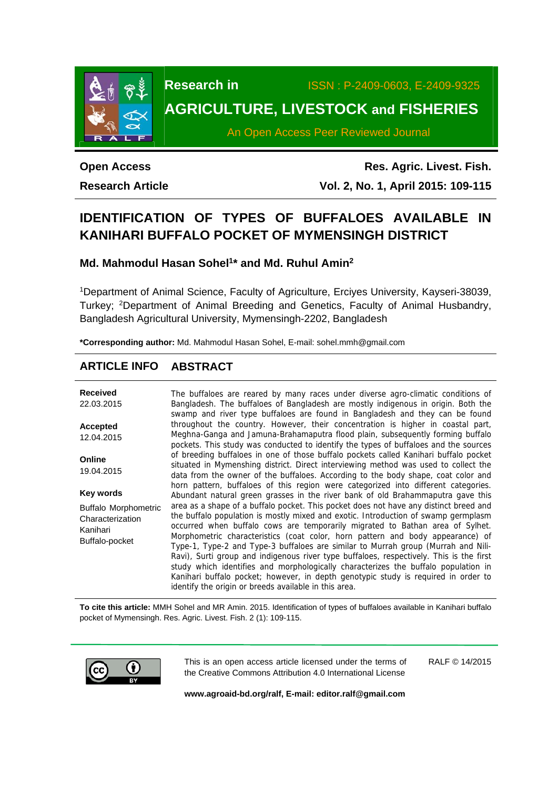

**Research in** ISSN : P-2409-0603, E-2409-9325 **AGRICULTURE, LIVESTOCK and FISHERIES** 

An Open Access Peer Reviewed Journal

**Open Access** 

**Research Article** 

**Res. Agric. Livest. Fish. Vol. 2, No. 1, April 2015: 109-115**

# **IDENTIFICATION OF TYPES OF BUFFALOES AVAILABLE IN KANIHARI BUFFALO POCKET OF MYMENSINGH DISTRICT**

**Md. Mahmodul Hasan Sohel1\* and Md. Ruhul Amin2** 

1Department of Animal Science, Faculty of Agriculture, Erciyes University, Kayseri-38039, Turkey; 2Department of Animal Breeding and Genetics, Faculty of Animal Husbandry, Bangladesh Agricultural University, Mymensingh-2202, Bangladesh

**\*Corresponding author:** Md. Mahmodul Hasan Sohel, E-mail: sohel.mmh@gmail.com

# **ARTICLE INFO ABSTRACT**

| <b>Received</b><br>22.03.2015                                                 | The buffaloes are reared by many races under diverse agro-climatic conditions of<br>Bangladesh. The buffaloes of Bangladesh are mostly indigenous in origin. Both the<br>swamp and river type buffaloes are found in Bangladesh and they can be found                                                                                                                                                                                                                                                                                                                                                                                                                                                                                                               |  |
|-------------------------------------------------------------------------------|---------------------------------------------------------------------------------------------------------------------------------------------------------------------------------------------------------------------------------------------------------------------------------------------------------------------------------------------------------------------------------------------------------------------------------------------------------------------------------------------------------------------------------------------------------------------------------------------------------------------------------------------------------------------------------------------------------------------------------------------------------------------|--|
| <b>Accepted</b><br>12.04.2015                                                 | throughout the country. However, their concentration is higher in coastal part,<br>Meghna-Ganga and Jamuna-Brahamaputra flood plain, subsequently forming buffalo<br>pockets. This study was conducted to identify the types of buffaloes and the sources                                                                                                                                                                                                                                                                                                                                                                                                                                                                                                           |  |
| Online<br>19.04.2015                                                          | of breeding buffaloes in one of those buffalo pockets called Kanihari buffalo pocket<br>situated in Mymenshing district. Direct interviewing method was used to collect the<br>data from the owner of the buffaloes. According to the body shape, coat color and                                                                                                                                                                                                                                                                                                                                                                                                                                                                                                    |  |
| Key words                                                                     | horn pattern, buffaloes of this region were categorized into different categories.<br>Abundant natural green grasses in the river bank of old Brahammaputra gave this                                                                                                                                                                                                                                                                                                                                                                                                                                                                                                                                                                                               |  |
| <b>Buffalo Morphometric</b><br>Characterization<br>Kanihari<br>Buffalo-pocket | area as a shape of a buffalo pocket. This pocket does not have any distinct breed and<br>the buffalo population is mostly mixed and exotic. Introduction of swamp germplasm<br>occurred when buffalo cows are temporarily migrated to Bathan area of Sylhet.<br>Morphometric characteristics (coat color, horn pattern and body appearance) of<br>Type-1, Type-2 and Type-3 buffaloes are similar to Murrah group (Murrah and Nili-<br>Ravi), Surti group and indigenous river type buffaloes, respectively. This is the first<br>study which identifies and morphologically characterizes the buffalo population in<br>Kanihari buffalo pocket; however, in depth genotypic study is required in order to<br>identify the origin or breeds available in this area. |  |

**To cite this article:** MMH Sohel and MR Amin. 2015. Identification of types of buffaloes available in Kanihari buffalo pocket of Mymensingh. Res. Agric. Livest. Fish. 2 (1): 109-115.



This is an open access article licensed under the terms of the Creative Commons Attribution 4.0 International License

RALF © 14/2015

**www.agroaid-bd.org/ralf, E-mail: editor.ralf@gmail.com**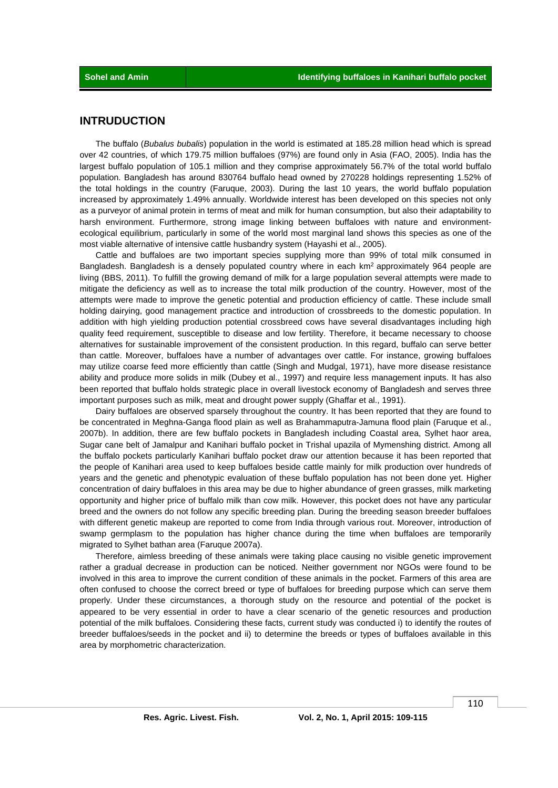# **INTRUDUCTION**

 The buffalo (*Bubalus bubalis*) population in the world is estimated at 185.28 million head which is spread over 42 countries, of which 179.75 million buffaloes (97%) are found only in Asia (FAO, 2005). India has the largest buffalo population of 105.1 million and they comprise approximately 56.7% of the total world buffalo population. Bangladesh has around 830764 buffalo head owned by 270228 holdings representing 1.52% of the total holdings in the country (Faruque, 2003). During the last 10 years, the world buffalo population increased by approximately 1.49% annually. Worldwide interest has been developed on this species not only as a purveyor of animal protein in terms of meat and milk for human consumption, but also their adaptability to harsh environment. Furthermore, strong image linking between buffaloes with nature and environmentecological equilibrium, particularly in some of the world most marginal land shows this species as one of the most viable alternative of intensive cattle husbandry system (Hayashi et al., 2005).

 Cattle and buffaloes are two important species supplying more than 99% of total milk consumed in Bangladesh. Bangladesh is a densely populated country where in each km<sup>2</sup> approximately 964 people are living (BBS, 2011). To fulfill the growing demand of milk for a large population several attempts were made to mitigate the deficiency as well as to increase the total milk production of the country. However, most of the attempts were made to improve the genetic potential and production efficiency of cattle. These include small holding dairying, good management practice and introduction of crossbreeds to the domestic population. In addition with high yielding production potential crossbreed cows have several disadvantages including high quality feed requirement, susceptible to disease and low fertility. Therefore, it became necessary to choose alternatives for sustainable improvement of the consistent production. In this regard, buffalo can serve better than cattle. Moreover, buffaloes have a number of advantages over cattle. For instance, growing buffaloes may utilize coarse feed more efficiently than cattle (Singh and Mudgal, 1971), have more disease resistance ability and produce more solids in milk (Dubey et al., 1997) and require less management inputs. It has also been reported that buffalo holds strategic place in overall livestock economy of Bangladesh and serves three important purposes such as milk, meat and drought power supply (Ghaffar et al., 1991).

 Dairy buffaloes are observed sparsely throughout the country. It has been reported that they are found to be concentrated in Meghna-Ganga flood plain as well as Brahammaputra-Jamuna flood plain (Faruque et al., 2007b). In addition, there are few buffalo pockets in Bangladesh including Coastal area, Sylhet haor area, Sugar cane belt of Jamalpur and Kanihari buffalo pocket in Trishal upazila of Mymenshing district. Among all the buffalo pockets particularly Kanihari buffalo pocket draw our attention because it has been reported that the people of Kanihari area used to keep buffaloes beside cattle mainly for milk production over hundreds of years and the genetic and phenotypic evaluation of these buffalo population has not been done yet. Higher concentration of dairy buffaloes in this area may be due to higher abundance of green grasses, milk marketing opportunity and higher price of buffalo milk than cow milk. However, this pocket does not have any particular breed and the owners do not follow any specific breeding plan. During the breeding season breeder buffaloes with different genetic makeup are reported to come from India through various rout. Moreover, introduction of swamp germplasm to the population has higher chance during the time when buffaloes are temporarily migrated to Sylhet bathan area (Faruque 2007a).

 Therefore, aimless breeding of these animals were taking place causing no visible genetic improvement rather a gradual decrease in production can be noticed. Neither government nor NGOs were found to be involved in this area to improve the current condition of these animals in the pocket. Farmers of this area are often confused to choose the correct breed or type of buffaloes for breeding purpose which can serve them properly. Under these circumstances, a thorough study on the resource and potential of the pocket is appeared to be very essential in order to have a clear scenario of the genetic resources and production potential of the milk buffaloes. Considering these facts, current study was conducted i) to identify the routes of breeder buffaloes/seeds in the pocket and ii) to determine the breeds or types of buffaloes available in this area by morphometric characterization.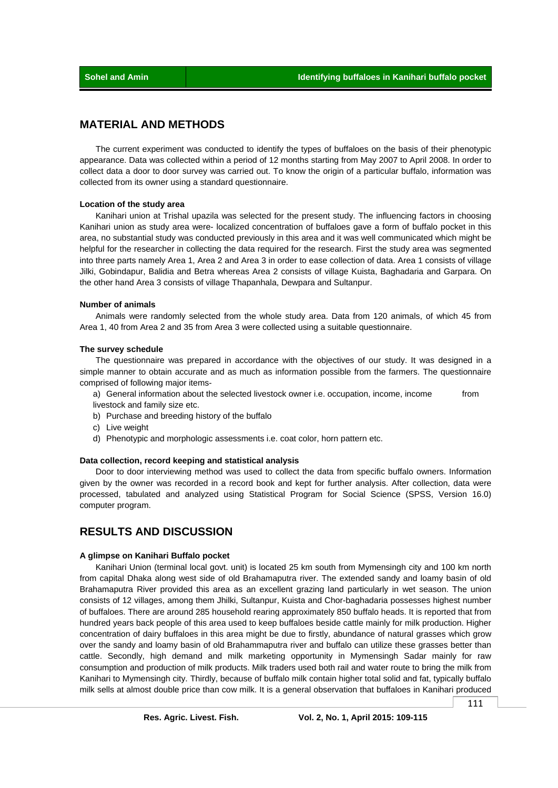## **MATERIAL AND METHODS**

 The current experiment was conducted to identify the types of buffaloes on the basis of their phenotypic appearance. Data was collected within a period of 12 months starting from May 2007 to April 2008. In order to collect data a door to door survey was carried out. To know the origin of a particular buffalo, information was collected from its owner using a standard questionnaire.

### **Location of the study area**

 Kanihari union at Trishal upazila was selected for the present study. The influencing factors in choosing Kanihari union as study area were- localized concentration of buffaloes gave a form of buffalo pocket in this area, no substantial study was conducted previously in this area and it was well communicated which might be helpful for the researcher in collecting the data required for the research. First the study area was segmented into three parts namely Area 1, Area 2 and Area 3 in order to ease collection of data. Area 1 consists of village Jilki, Gobindapur, Balidia and Betra whereas Area 2 consists of village Kuista, Baghadaria and Garpara. On the other hand Area 3 consists of village Thapanhala, Dewpara and Sultanpur.

### **Number of animals**

 Animals were randomly selected from the whole study area. Data from 120 animals, of which 45 from Area 1, 40 from Area 2 and 35 from Area 3 were collected using a suitable questionnaire.

#### **The survey schedule**

 The questionnaire was prepared in accordance with the objectives of our study. It was designed in a simple manner to obtain accurate and as much as information possible from the farmers. The questionnaire comprised of following major items-

a) General information about the selected livestock owner i.e. occupation, income, income from livestock and family size etc.

- b) Purchase and breeding history of the buffalo
- c) Live weight
- d) Phenotypic and morphologic assessments i.e. coat color, horn pattern etc.

#### **Data collection, record keeping and statistical analysis**

 Door to door interviewing method was used to collect the data from specific buffalo owners. Information given by the owner was recorded in a record book and kept for further analysis. After collection, data were processed, tabulated and analyzed using Statistical Program for Social Science (SPSS, Version 16.0) computer program.

# **RESULTS AND DISCUSSION**

### **A glimpse on Kanihari Buffalo pocket**

 Kanihari Union (terminal local govt. unit) is located 25 km south from Mymensingh city and 100 km north from capital Dhaka along west side of old Brahamaputra river. The extended sandy and loamy basin of old Brahamaputra River provided this area as an excellent grazing land particularly in wet season. The union consists of 12 villages, among them Jhilki, Sultanpur, Kuista and Chor-baghadaria possesses highest number of buffaloes. There are around 285 household rearing approximately 850 buffalo heads. It is reported that from hundred years back people of this area used to keep buffaloes beside cattle mainly for milk production. Higher concentration of dairy buffaloes in this area might be due to firstly, abundance of natural grasses which grow over the sandy and loamy basin of old Brahammaputra river and buffalo can utilize these grasses better than cattle. Secondly, high demand and milk marketing opportunity in Mymensingh Sadar mainly for raw consumption and production of milk products. Milk traders used both rail and water route to bring the milk from Kanihari to Mymensingh city. Thirdly, because of buffalo milk contain higher total solid and fat, typically buffalo milk sells at almost double price than cow milk. It is a general observation that buffaloes in Kanihari produced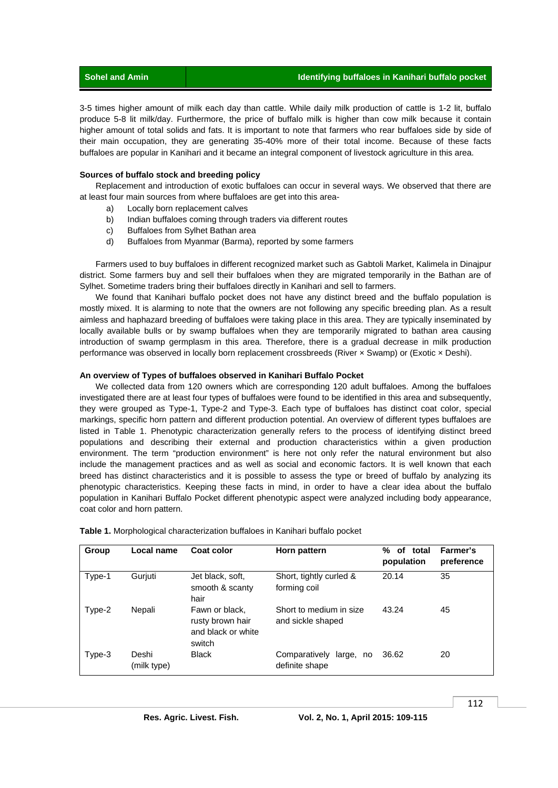| $\blacksquare$ Sohel and Amin $\blacksquare$ | Identifying buffaloes in Kanihari buffalo pocket |
|----------------------------------------------|--------------------------------------------------|
|----------------------------------------------|--------------------------------------------------|

3-5 times higher amount of milk each day than cattle. While daily milk production of cattle is 1-2 lit, buffalo produce 5-8 lit milk/day. Furthermore, the price of buffalo milk is higher than cow milk because it contain higher amount of total solids and fats. It is important to note that farmers who rear buffaloes side by side of their main occupation, they are generating 35-40% more of their total income. Because of these facts buffaloes are popular in Kanihari and it became an integral component of livestock agriculture in this area.

### **Sources of buffalo stock and breeding policy**

 Replacement and introduction of exotic buffaloes can occur in several ways. We observed that there are at least four main sources from where buffaloes are get into this area-

- a) Locally born replacement calves
- b) Indian buffaloes coming through traders via different routes
- c) Buffaloes from Sylhet Bathan area
- d) Buffaloes from Myanmar (Barma), reported by some farmers

 Farmers used to buy buffaloes in different recognized market such as Gabtoli Market, Kalimela in Dinajpur district. Some farmers buy and sell their buffaloes when they are migrated temporarily in the Bathan are of Sylhet. Sometime traders bring their buffaloes directly in Kanihari and sell to farmers.

 We found that Kanihari buffalo pocket does not have any distinct breed and the buffalo population is mostly mixed. It is alarming to note that the owners are not following any specific breeding plan. As a result aimless and haphazard breeding of buffaloes were taking place in this area. They are typically inseminated by locally available bulls or by swamp buffaloes when they are temporarily migrated to bathan area causing introduction of swamp germplasm in this area. Therefore, there is a gradual decrease in milk production performance was observed in locally born replacement crossbreeds (River x Swamp) or (Exotic x Deshi).

### **An overview of Types of buffaloes observed in Kanihari Buffalo Pocket**

 We collected data from 120 owners which are corresponding 120 adult buffaloes. Among the buffaloes investigated there are at least four types of buffaloes were found to be identified in this area and subsequently, they were grouped as Type-1, Type-2 and Type-3. Each type of buffaloes has distinct coat color, special markings, specific horn pattern and different production potential. An overview of different types buffaloes are listed in Table 1. Phenotypic characterization generally refers to the process of identifying distinct breed populations and describing their external and production characteristics within a given production environment. The term "production environment" is here not only refer the natural environment but also include the management practices and as well as social and economic factors. It is well known that each breed has distinct characteristics and it is possible to assess the type or breed of buffalo by analyzing its phenotypic characteristics. Keeping these facts in mind, in order to have a clear idea about the buffalo population in Kanihari Buffalo Pocket different phenotypic aspect were analyzed including body appearance, coat color and horn pattern.

| Group  | Local name           | Coat color                                                         | Horn pattern                                 | ℅<br>of<br>total<br>population | Farmer's<br>preference |
|--------|----------------------|--------------------------------------------------------------------|----------------------------------------------|--------------------------------|------------------------|
| Type-1 | Gurjuti              | Jet black, soft,<br>smooth & scanty<br>hair                        | Short, tightly curled &<br>forming coil      | 20.14                          | 35                     |
| Type-2 | Nepali               | Fawn or black.<br>rusty brown hair<br>and black or white<br>switch | Short to medium in size<br>and sickle shaped | 43.24                          | 45                     |
| Type-3 | Deshi<br>(milk type) | <b>Black</b>                                                       | Comparatively<br>large, no<br>definite shape | 36.62                          | 20                     |

**Table 1.** Morphological characterization buffaloes in Kanihari buffalo pocket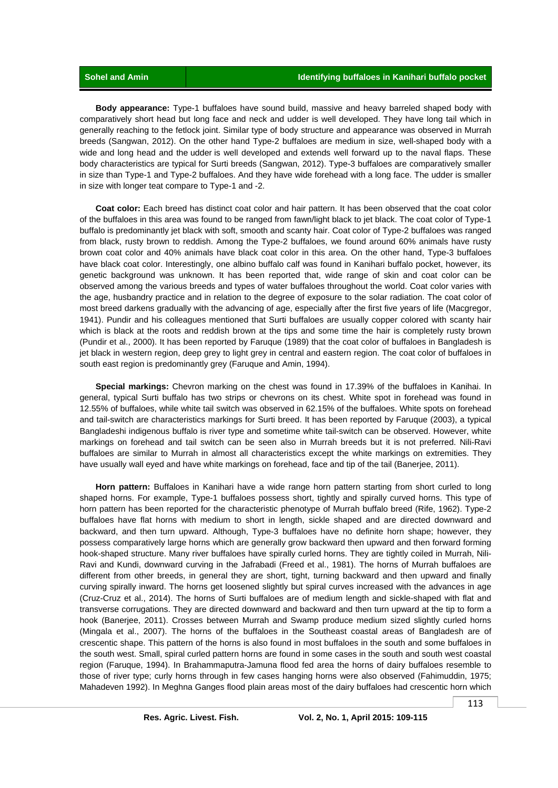**Body appearance:** Type-1 buffaloes have sound build, massive and heavy barreled shaped body with comparatively short head but long face and neck and udder is well developed. They have long tail which in generally reaching to the fetlock joint. Similar type of body structure and appearance was observed in Murrah breeds (Sangwan, 2012). On the other hand Type-2 buffaloes are medium in size, well-shaped body with a wide and long head and the udder is well developed and extends well forward up to the naval flaps. These body characteristics are typical for Surti breeds (Sangwan, 2012). Type-3 buffaloes are comparatively smaller in size than Type-1 and Type-2 buffaloes. And they have wide forehead with a long face. The udder is smaller in size with longer teat compare to Type-1 and -2.

 **Coat color:** Each breed has distinct coat color and hair pattern. It has been observed that the coat color of the buffaloes in this area was found to be ranged from fawn/light black to jet black. The coat color of Type-1 buffalo is predominantly jet black with soft, smooth and scanty hair. Coat color of Type-2 buffaloes was ranged from black, rusty brown to reddish. Among the Type-2 buffaloes, we found around 60% animals have rusty brown coat color and 40% animals have black coat color in this area. On the other hand, Type-3 buffaloes have black coat color. Interestingly, one albino buffalo calf was found in Kanihari buffalo pocket, however, its genetic background was unknown. It has been reported that, wide range of skin and coat color can be observed among the various breeds and types of water buffaloes throughout the world. Coat color varies with the age, husbandry practice and in relation to the degree of exposure to the solar radiation. The coat color of most breed darkens gradually with the advancing of age, especially after the first five years of life (Macgregor, 1941). Pundir and his colleagues mentioned that Surti buffaloes are usually copper colored with scanty hair which is black at the roots and reddish brown at the tips and some time the hair is completely rusty brown (Pundir et al., 2000). It has been reported by Faruque (1989) that the coat color of buffaloes in Bangladesh is jet black in western region, deep grey to light grey in central and eastern region. The coat color of buffaloes in south east region is predominantly grey (Faruque and Amin, 1994).

 **Special markings:** Chevron marking on the chest was found in 17.39% of the buffaloes in Kanihai. In general, typical Surti buffalo has two strips or chevrons on its chest. White spot in forehead was found in 12.55% of buffaloes, while white tail switch was observed in 62.15% of the buffaloes. White spots on forehead and tail-switch are characteristics markings for Surti breed. It has been reported by Faruque (2003), a typical Bangladeshi indigenous buffalo is river type and sometime white tail-switch can be observed. However, white markings on forehead and tail switch can be seen also in Murrah breeds but it is not preferred. Nili-Ravi buffaloes are similar to Murrah in almost all characteristics except the white markings on extremities. They have usually wall eyed and have white markings on forehead, face and tip of the tail (Banerjee, 2011).

 **Horn pattern:** Buffaloes in Kanihari have a wide range horn pattern starting from short curled to long shaped horns. For example, Type-1 buffaloes possess short, tightly and spirally curved horns. This type of horn pattern has been reported for the characteristic phenotype of Murrah buffalo breed (Rife, 1962). Type-2 buffaloes have flat horns with medium to short in length, sickle shaped and are directed downward and backward, and then turn upward. Although, Type-3 buffaloes have no definite horn shape; however, they possess comparatively large horns which are generally grow backward then upward and then forward forming hook-shaped structure. Many river buffaloes have spirally curled horns. They are tightly coiled in Murrah, Nili-Ravi and Kundi, downward curving in the Jafrabadi (Freed et al., 1981). The horns of Murrah buffaloes are different from other breeds, in general they are short, tight, turning backward and then upward and finally curving spirally inward. The horns get loosened slightly but spiral curves increased with the advances in age (Cruz-Cruz et al., 2014). The horns of Surti buffaloes are of medium length and sickle-shaped with flat and transverse corrugations. They are directed downward and backward and then turn upward at the tip to form a hook (Banerjee, 2011). Crosses between Murrah and Swamp produce medium sized slightly curled horns (Mingala et al., 2007). The horns of the buffaloes in the Southeast coastal areas of Bangladesh are of crescentic shape. This pattern of the horns is also found in most buffaloes in the south and some buffaloes in the south west. Small, spiral curled pattern horns are found in some cases in the south and south west coastal region (Faruque, 1994). In Brahammaputra-Jamuna flood fed area the horns of dairy buffaloes resemble to those of river type; curly horns through in few cases hanging horns were also observed (Fahimuddin, 1975; Mahadeven 1992). In Meghna Ganges flood plain areas most of the dairy buffaloes had crescentic horn which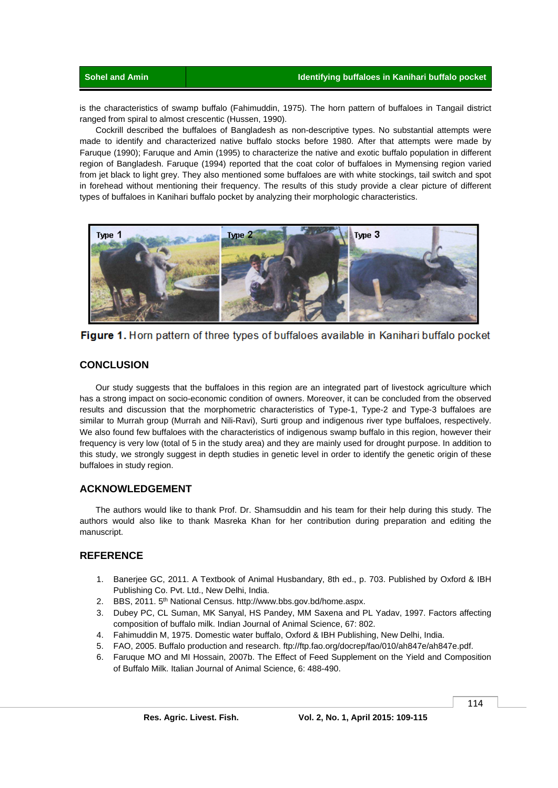is the characteristics of swamp buffalo (Fahimuddin, 1975). The horn pattern of buffaloes in Tangail district ranged from spiral to almost crescentic (Hussen, 1990).

 Cockrill described the buffaloes of Bangladesh as non-descriptive types. No substantial attempts were made to identify and characterized native buffalo stocks before 1980. After that attempts were made by Faruque (1990); Faruque and Amin (1995) to characterize the native and exotic buffalo population in different region of Bangladesh. Faruque (1994) reported that the coat color of buffaloes in Mymensing region varied from jet black to light grey. They also mentioned some buffaloes are with white stockings, tail switch and spot in forehead without mentioning their frequency. The results of this study provide a clear picture of different types of buffaloes in Kanihari buffalo pocket by analyzing their morphologic characteristics.



Figure 1. Horn pattern of three types of buffaloes available in Kanihari buffalo pocket

# **CONCLUSION**

 Our study suggests that the buffaloes in this region are an integrated part of livestock agriculture which has a strong impact on socio-economic condition of owners. Moreover, it can be concluded from the observed results and discussion that the morphometric characteristics of Type-1, Type-2 and Type-3 buffaloes are similar to Murrah group (Murrah and Nili-Ravi), Surti group and indigenous river type buffaloes, respectively. We also found few buffaloes with the characteristics of indigenous swamp buffalo in this region, however their frequency is very low (total of 5 in the study area) and they are mainly used for drought purpose. In addition to this study, we strongly suggest in depth studies in genetic level in order to identify the genetic origin of these buffaloes in study region.

# **ACKNOWLEDGEMENT**

 The authors would like to thank Prof. Dr. Shamsuddin and his team for their help during this study. The authors would also like to thank Masreka Khan for her contribution during preparation and editing the manuscript.

# **REFERENCE**

- 1. Banerjee GC, 2011. A Textbook of Animal Husbandary, 8th ed., p. 703. Published by Oxford & IBH Publishing Co. Pvt. Ltd., New Delhi, India.
- 2. BBS, 2011. 5<sup>th</sup> National Census. http://www.bbs.gov.bd/home.aspx.
- 3. Dubey PC, CL Suman, MK Sanyal, HS Pandey, MM Saxena and PL Yadav, 1997. Factors affecting composition of buffalo milk. Indian Journal of Animal Science, 67: 802.
- 4. Fahimuddin M, 1975. Domestic water buffalo, Oxford & IBH Publishing, New Delhi, India.
- 5. FAO, 2005. Buffalo production and research. ftp://ftp.fao.org/docrep/fao/010/ah847e/ah847e.pdf.

6. Faruque MO and MI Hossain, 2007b. The Effect of Feed Supplement on the Yield and Composition of Buffalo Milk. Italian Journal of Animal Science, 6: 488-490.